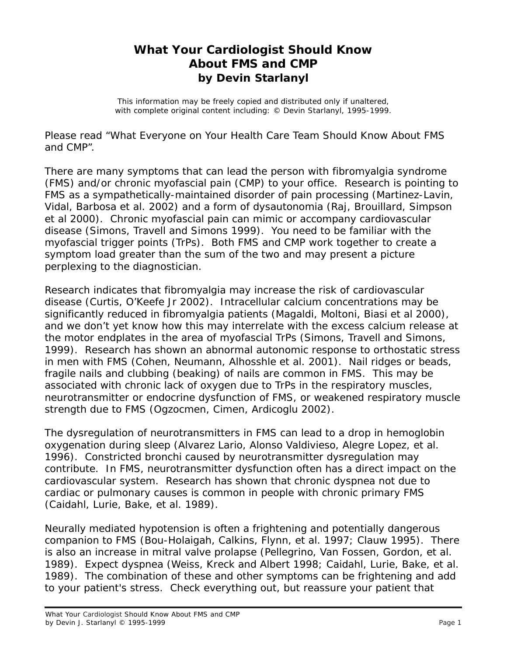## **What Your Cardiologist Should Know About FMS and CMP by Devin Starlanyl**

This information may be freely copied and distributed only if unaltered, with complete original content including: © Devin Starlanyl, 1995-1999.

Please read "What Everyone on Your Health Care Team Should Know About FMS and CMP".

There are many symptoms that can lead the person with fibromyalgia syndrome (FMS) and/or chronic myofascial pain (CMP) to your office. Research is pointing to FMS as a sympathetically-maintained disorder of pain processing (Martinez-Lavin, Vidal, Barbosa et al. 2002) and a form of dysautonomia (Raj, Brouillard, Simpson et al 2000). Chronic myofascial pain can mimic or accompany cardiovascular disease (Simons, Travell and Simons 1999). You need to be familiar with the myofascial trigger points (TrPs). Both FMS and CMP work together to create a symptom load greater than the sum of the two and may present a picture perplexing to the diagnostician.

Research indicates that fibromyalgia may increase the risk of cardiovascular disease (Curtis, O'Keefe Jr 2002). Intracellular calcium concentrations may be significantly reduced in fibromyalgia patients (Magaldi, Moltoni, Biasi et al 2000), and we don't yet know how this may interrelate with the excess calcium release at the motor endplates in the area of myofascial TrPs (Simons, Travell and Simons, 1999). Research has shown an abnormal autonomic response to orthostatic stress in men with FMS (Cohen, Neumann, Alhosshle et al. 2001). Nail ridges or beads, fragile nails and clubbing (beaking) of nails are common in FMS. This may be associated with chronic lack of oxygen due to TrPs in the respiratory muscles, neurotransmitter or endocrine dysfunction of FMS, or weakened respiratory muscle strength due to FMS (Ogzocmen, Cimen, Ardicoglu 2002).

The dysregulation of neurotransmitters in FMS can lead to a drop in hemoglobin oxygenation during sleep (Alvarez Lario, Alonso Valdivieso, Alegre Lopez, et al. 1996). Constricted bronchi caused by neurotransmitter dysregulation may contribute. In FMS, neurotransmitter dysfunction often has a direct impact on the cardiovascular system. Research has shown that chronic dyspnea not due to cardiac or pulmonary causes is common in people with chronic primary FMS (Caidahl, Lurie, Bake, et al. 1989).

Neurally mediated hypotension is often a frightening and potentially dangerous companion to FMS (Bou-Holaigah, Calkins, Flynn, et al. 1997; Clauw 1995). There is also an increase in mitral valve prolapse (Pellegrino, Van Fossen, Gordon, et al. 1989). Expect dyspnea (Weiss, Kreck and Albert 1998; Caidahl, Lurie, Bake, et al. 1989). The combination of these and other symptoms can be frightening and add to your patient's stress. Check everything out, but reassure your patient that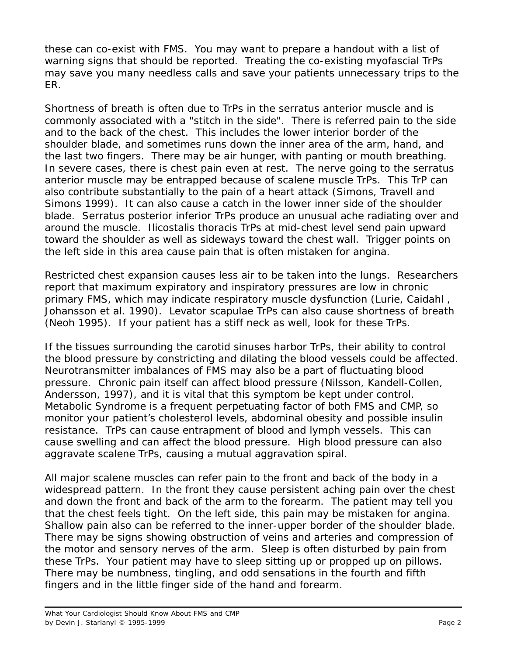these can co-exist with FMS. You may want to prepare a handout with a list of warning signs that should be reported. Treating the co-existing myofascial TrPs may save you many needless calls and save your patients unnecessary trips to the ER.

Shortness of breath is often due to TrPs in the serratus anterior muscle and is commonly associated with a "stitch in the side". There is referred pain to the side and to the back of the chest. This includes the lower interior border of the shoulder blade, and sometimes runs down the inner area of the arm, hand, and the last two fingers. There may be air hunger, with panting or mouth breathing. In severe cases, there is chest pain even at rest. The nerve going to the serratus anterior muscle may be entrapped because of scalene muscle TrPs. This TrP can also contribute substantially to the pain of a heart attack (Simons, Travell and Simons 1999). It can also cause a catch in the lower inner side of the shoulder blade. Serratus posterior inferior TrPs produce an unusual ache radiating over and around the muscle. Ilicostalis thoracis TrPs at mid-chest level send pain upward toward the shoulder as well as sideways toward the chest wall. Trigger points on the left side in this area cause pain that is often mistaken for angina.

Restricted chest expansion causes less air to be taken into the lungs. Researchers report that maximum expiratory and inspiratory pressures are low in chronic primary FMS, which may indicate respiratory muscle dysfunction (Lurie, Caidahl , Johansson et al. 1990). Levator scapulae TrPs can also cause shortness of breath (Neoh 1995). If your patient has a stiff neck as well, look for these TrPs.

If the tissues surrounding the carotid sinuses harbor TrPs, their ability to control the blood pressure by constricting and dilating the blood vessels could be affected. Neurotransmitter imbalances of FMS may also be a part of fluctuating blood pressure. Chronic pain itself can affect blood pressure (Nilsson, Kandell-Collen, Andersson, 1997), and it is vital that this symptom be kept under control. Metabolic Syndrome is a frequent perpetuating factor of both FMS and CMP, so monitor your patient's cholesterol levels, abdominal obesity and possible insulin resistance. TrPs can cause entrapment of blood and lymph vessels. This can cause swelling and can affect the blood pressure. High blood pressure can also aggravate scalene TrPs, causing a mutual aggravation spiral.

All major scalene muscles can refer pain to the front and back of the body in a widespread pattern. In the front they cause persistent aching pain over the chest and down the front and back of the arm to the forearm. The patient may tell you that the chest feels tight. On the left side, this pain may be mistaken for angina. Shallow pain also can be referred to the inner-upper border of the shoulder blade. There may be signs showing obstruction of veins and arteries and compression of the motor and sensory nerves of the arm. Sleep is often disturbed by pain from these TrPs. Your patient may have to sleep sitting up or propped up on pillows. There may be numbness, tingling, and odd sensations in the fourth and fifth fingers and in the little finger side of the hand and forearm.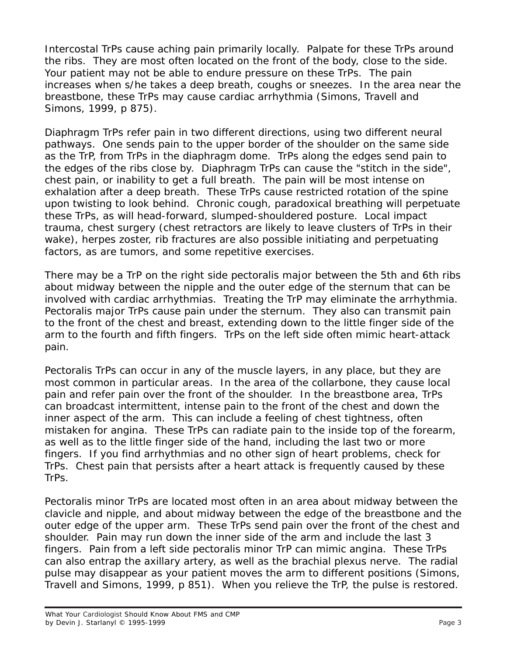Intercostal TrPs cause aching pain primarily locally. Palpate for these TrPs around the ribs. They are most often located on the front of the body, close to the side. Your patient may not be able to endure pressure on these TrPs. The pain increases when s/he takes a deep breath, coughs or sneezes. In the area near the breastbone, these TrPs may cause cardiac arrhythmia (Simons, Travell and Simons, 1999, p 875).

Diaphragm TrPs refer pain in two different directions, using two different neural pathways. One sends pain to the upper border of the shoulder on the same side as the TrP, from TrPs in the diaphragm dome. TrPs along the edges send pain to the edges of the ribs close by. Diaphragm TrPs can cause the "stitch in the side", chest pain, or inability to get a full breath. The pain will be most intense on exhalation after a deep breath. These TrPs cause restricted rotation of the spine upon twisting to look behind. Chronic cough, paradoxical breathing will perpetuate these TrPs, as will head-forward, slumped-shouldered posture. Local impact trauma, chest surgery (chest retractors are likely to leave clusters of TrPs in their wake), herpes zoster, rib fractures are also possible initiating and perpetuating factors, as are tumors, and some repetitive exercises.

There may be a TrP on the right side pectoralis major between the 5th and 6th ribs about midway between the nipple and the outer edge of the sternum that can be involved with cardiac arrhythmias. Treating the TrP may eliminate the arrhythmia. Pectoralis major TrPs cause pain under the sternum. They also can transmit pain to the front of the chest and breast, extending down to the little finger side of the arm to the fourth and fifth fingers. TrPs on the left side often mimic heart-attack pain.

Pectoralis TrPs can occur in any of the muscle layers, in any place, but they are most common in particular areas. In the area of the collarbone, they cause local pain and refer pain over the front of the shoulder. In the breastbone area, TrPs can broadcast intermittent, intense pain to the front of the chest and down the inner aspect of the arm. This can include a feeling of chest tightness, often mistaken for angina. These TrPs can radiate pain to the inside top of the forearm, as well as to the little finger side of the hand, including the last two or more fingers. If you find arrhythmias and no other sign of heart problems, check for TrPs. Chest pain that persists after a heart attack is frequently caused by these TrPs.

Pectoralis minor TrPs are located most often in an area about midway between the clavicle and nipple, and about midway between the edge of the breastbone and the outer edge of the upper arm. These TrPs send pain over the front of the chest and shoulder. Pain may run down the inner side of the arm and include the last 3 fingers. Pain from a left side pectoralis minor TrP can mimic angina. These TrPs can also entrap the axillary artery, as well as the brachial plexus nerve. The radial pulse may disappear as your patient moves the arm to different positions (Simons, Travell and Simons, 1999, p 851). When you relieve the TrP, the pulse is restored.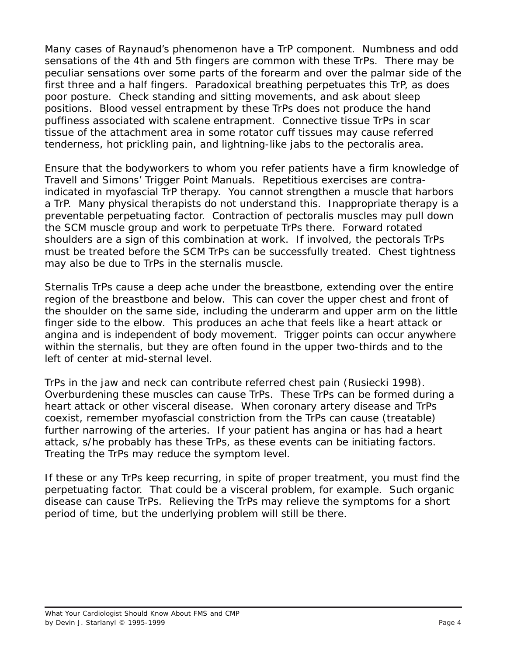Many cases of Raynaud's phenomenon have a TrP component. Numbness and odd sensations of the 4th and 5th fingers are common with these TrPs. There may be peculiar sensations over some parts of the forearm and over the palmar side of the first three and a half fingers. Paradoxical breathing perpetuates this TrP, as does poor posture. Check standing and sitting movements, and ask about sleep positions. Blood vessel entrapment by these TrPs does not produce the hand puffiness associated with scalene entrapment. Connective tissue TrPs in scar tissue of the attachment area in some rotator cuff tissues may cause referred tenderness, hot prickling pain, and lightning-like jabs to the pectoralis area.

Ensure that the bodyworkers to whom you refer patients have a firm knowledge of Travell and Simons' Trigger Point Manuals. Repetitious exercises are contraindicated in myofascial TrP therapy. You cannot strengthen a muscle that harbors a TrP. Many physical therapists do not understand this. Inappropriate therapy is a preventable perpetuating factor. Contraction of pectoralis muscles may pull down the SCM muscle group and work to perpetuate TrPs there. Forward rotated shoulders are a sign of this combination at work. If involved, the pectorals TrPs must be treated before the SCM TrPs can be successfully treated. Chest tightness may also be due to TrPs in the sternalis muscle.

Sternalis TrPs cause a deep ache under the breastbone, extending over the entire region of the breastbone and below. This can cover the upper chest and front of the shoulder on the same side, including the underarm and upper arm on the little finger side to the elbow. This produces an ache that feels like a heart attack or angina and is independent of body movement. Trigger points can occur anywhere within the sternalis, but they are often found in the upper two-thirds and to the left of center at mid-sternal level.

TrPs in the jaw and neck can contribute referred chest pain (Rusiecki 1998). Overburdening these muscles can cause TrPs. These TrPs can be formed during a heart attack or other visceral disease. When coronary artery disease and TrPs coexist, remember myofascial constriction from the TrPs can cause (treatable) further narrowing of the arteries. If your patient has angina or has had a heart attack, s/he probably has these TrPs, as these events can be initiating factors. Treating the TrPs may reduce the symptom level.

If these or any TrPs keep recurring, in spite of proper treatment, you must find the perpetuating factor. That could be a visceral problem, for example. Such organic disease can cause TrPs. Relieving the TrPs may relieve the symptoms for a short period of time, but the underlying problem will still be there.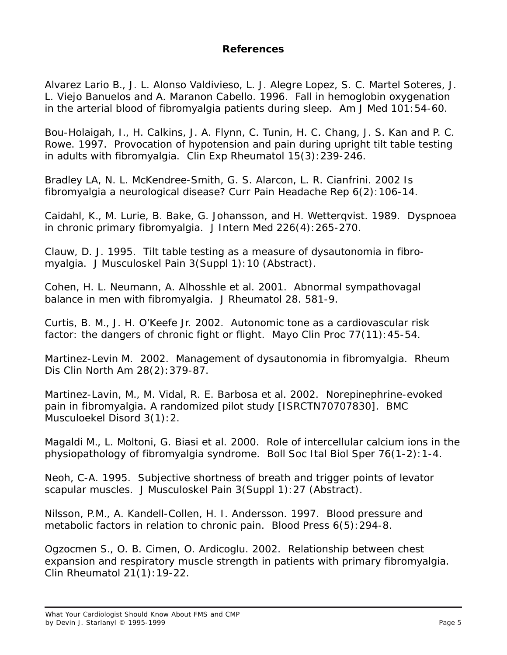## **References**

Alvarez Lario B., J. L. Alonso Valdivieso, L. J. Alegre Lopez, S. C. Martel Soteres, J. L. Viejo Banuelos and A. Maranon Cabello. 1996. Fall in hemoglobin oxygenation in the arterial blood of fibromyalgia patients during sleep. *Am J Med* 101:54-60.

Bou-Holaigah, I., H. Calkins, J. A. Flynn, C. Tunin, H. C. Chang, J. S. Kan and P. C. Rowe. 1997. Provocation of hypotension and pain during upright tilt table testing in adults with fibromyalgia. *Clin Exp Rheumatol* 15(3):239-246.

Bradley LA, N. L. McKendree-Smith, G. S. Alarcon, L. R. Cianfrini. 2002 Is fibromyalgia a neurological disease? Curr Pain Headache Rep 6(2):106-14.

Caidahl, K., M. Lurie, B. Bake, G. Johansson, and H. Wetterqvist. 1989. Dyspnoea in chronic primary fibromyalgia. *J Intern Med* 226(4):265-270.

Clauw, D. J. 1995. Tilt table testing as a measure of dysautonomia in fibromyalgia. *J Musculoskel Pain* 3(Suppl 1):10 (Abstract).

Cohen, H. L. Neumann, A. Alhosshle et al. 2001. Abnormal sympathovagal balance in men with fibromyalgia. *J Rheumatol* 28. 581-9.

Curtis, B. M., J. H. O'Keefe Jr. 2002. Autonomic tone as a cardiovascular risk factor: the dangers of chronic fight or flight. *Mayo Clin Proc* 77(11):45-54.

Martinez-Levin M. 2002. Management of dysautonomia in fibromyalgia. *Rheum Dis Clin North Am* 28(2):379-87.

Martinez-Lavin, M., M. Vidal, R. E. Barbosa et al. 2002. Norepinephrine-evoked pain in fibromyalgia. A randomized pilot study [ISRCTN70707830]. *BMC Musculoekel Disord* 3(1):2.

Magaldi M., L. Moltoni, G. Biasi et al. 2000. Role of intercellular calcium ions in the physiopathology of fibromyalgia syndrome. *Boll Soc Ital Biol Sper* 76(1-2):1-4.

Neoh, C-A. 1995. Subjective shortness of breath and trigger points of levator scapular muscles. *J Musculoskel Pain* 3(Suppl 1):27 (Abstract).

Nilsson, P.M., A. Kandell-Collen, H. I. Andersson. 1997. Blood pressure and metabolic factors in relation to chronic pain. *Blood Press* 6(5):294-8.

Ogzocmen S., O. B. Cimen, O. Ardicoglu. 2002. Relationship between chest expansion and respiratory muscle strength in patients with primary fibromyalgia. *Clin Rheumatol* 21(1):19-22.

What Your Cardiologist Should Know About FMS and CMP by Devin J. Starlanyl © 1995-1999 Page 5 Page 5 Page 5 Page 5